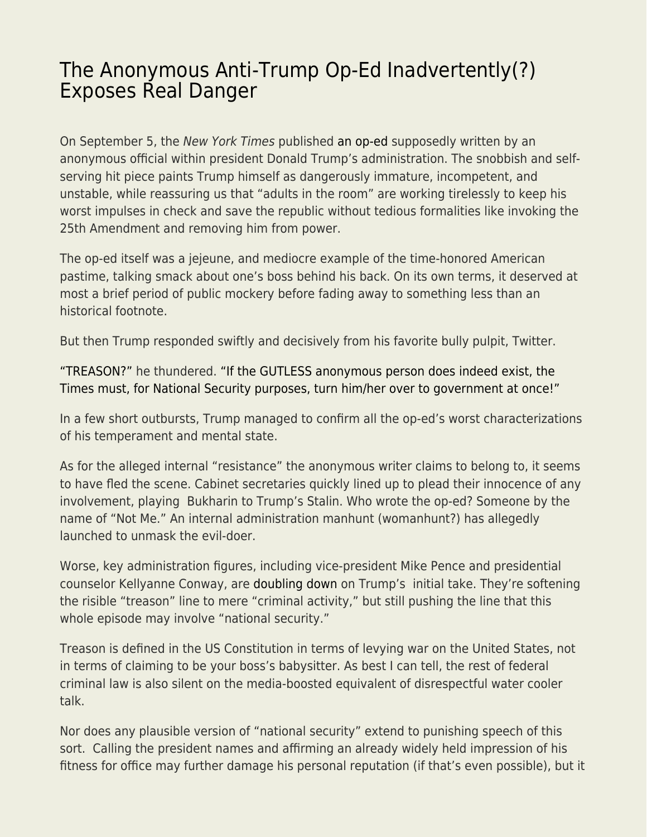## [The Anonymous Anti-Trump Op-Ed Inadvertently\(?\)](https://everything-voluntary.com/the-anonymous-anti-trump-op-ed-inadvertently-exposes-real-danger) [Exposes Real Danger](https://everything-voluntary.com/the-anonymous-anti-trump-op-ed-inadvertently-exposes-real-danger)

On September 5, the New York Times published [an op-ed](https://www.nytimes.com/2018/09/05/opinion/trump-white-house-anonymous-resistance.html) supposedly written by an anonymous official within president Donald Trump's administration. The snobbish and selfserving hit piece paints Trump himself as dangerously immature, incompetent, and unstable, while reassuring us that "adults in the room" are working tirelessly to keep his worst impulses in check and save the republic without tedious formalities like invoking the 25th Amendment and removing him from power.

The op-ed itself was a jejeune, and mediocre example of the time-honored American pastime, talking smack about one's boss behind his back. On its own terms, it deserved at most a brief period of public mockery before fading away to something less than an historical footnote.

But then Trump responded swiftly and decisively from his favorite bully pulpit, Twitter.

["TREASON?"](https://twitter.com/realDonaldTrump/status/1037464177269514240) he thundered. ["If the GUTLESS anonymous person does indeed exist, the](https://twitter.com/realDonaldTrump/status/1037485664433070080) [Times must, for National Security purposes, turn him/her over to government at once!"](https://twitter.com/realDonaldTrump/status/1037485664433070080)

In a few short outbursts, Trump managed to confirm all the op-ed's worst characterizations of his temperament and mental state.

As for the alleged internal "resistance" the anonymous writer claims to belong to, it seems to have fled the scene. Cabinet secretaries quickly lined up to plead their innocence of any involvement, playing Bukharin to Trump's Stalin. Who wrote the op-ed? Someone by the name of "Not Me." An internal administration manhunt (womanhunt?) has allegedly launched to unmask the evil-doer.

Worse, key administration figures, including vice-president Mike Pence and presidential counselor Kellyanne Conway, are [doubling down](https://www.theguardian.com/us-news/2018/sep/09/trump-anonymous-resistance-op-ed-national-security-risk) on Trump's initial take. They're softening the risible "treason" line to mere "criminal activity," but still pushing the line that this whole episode may involve "national security."

Treason is defined in the US Constitution in terms of levying war on the United States, not in terms of claiming to be your boss's babysitter. As best I can tell, the rest of federal criminal law is also silent on the media-boosted equivalent of disrespectful water cooler talk.

Nor does any plausible version of "national security" extend to punishing speech of this sort. Calling the president names and affirming an already widely held impression of his fitness for office may further damage his personal reputation (if that's even possible), but it